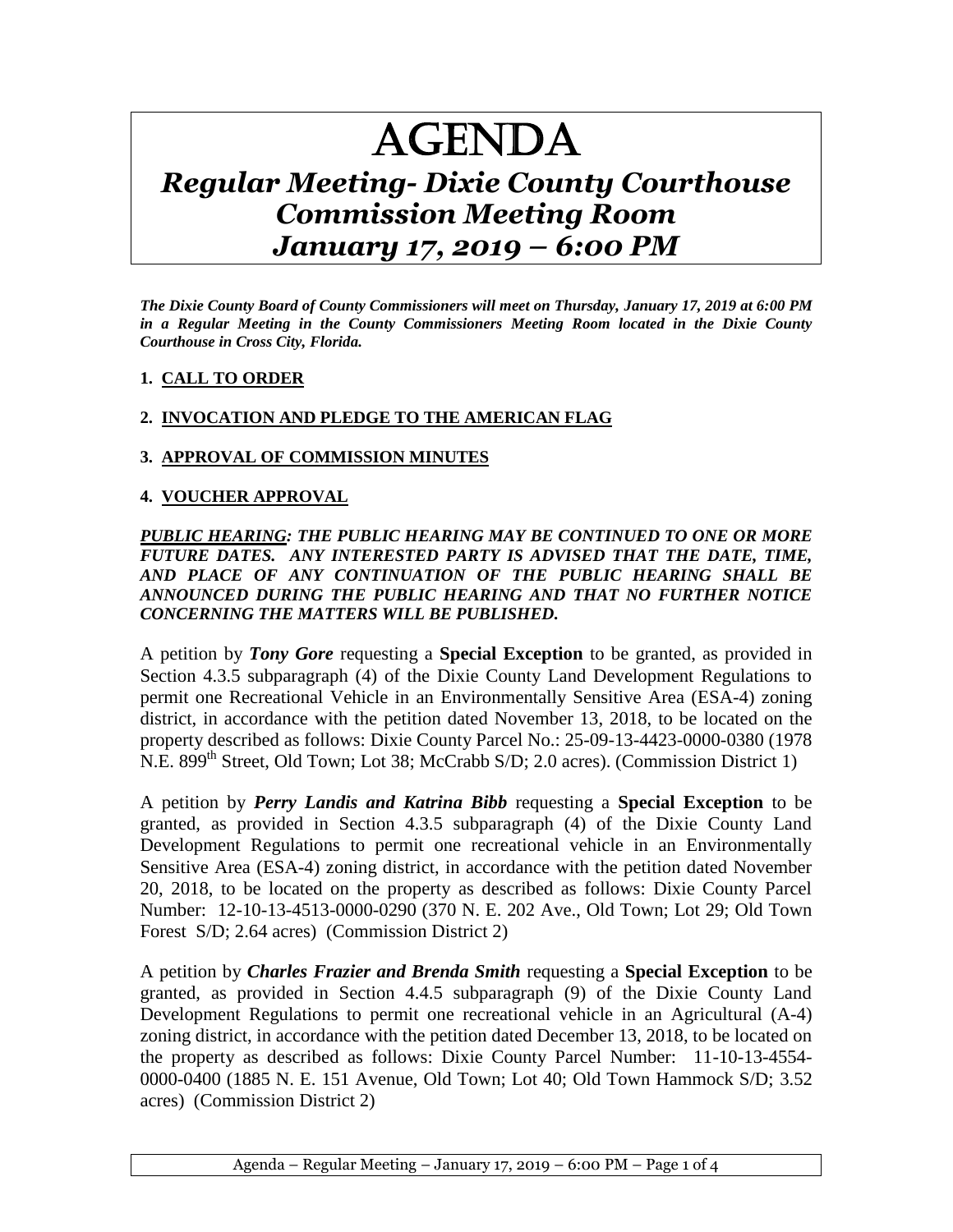# AGENDA

# *Regular Meeting- Dixie County Courthouse Commission Meeting Room January 17, 2019 – 6:00 PM*

*The Dixie County Board of County Commissioners will meet on Thursday, January 17, 2019 at 6:00 PM in a Regular Meeting in the County Commissioners Meeting Room located in the Dixie County Courthouse in Cross City, Florida.*

#### **1. CALL TO ORDER**

# **2. INVOCATION AND PLEDGE TO THE AMERICAN FLAG**

# **3. APPROVAL OF COMMISSION MINUTES**

# **4. VOUCHER APPROVAL**

#### *PUBLIC HEARING: THE PUBLIC HEARING MAY BE CONTINUED TO ONE OR MORE FUTURE DATES. ANY INTERESTED PARTY IS ADVISED THAT THE DATE, TIME, AND PLACE OF ANY CONTINUATION OF THE PUBLIC HEARING SHALL BE ANNOUNCED DURING THE PUBLIC HEARING AND THAT NO FURTHER NOTICE CONCERNING THE MATTERS WILL BE PUBLISHED.*

A petition by *Tony Gore* requesting a **Special Exception** to be granted, as provided in Section 4.3.5 subparagraph (4) of the Dixie County Land Development Regulations to permit one Recreational Vehicle in an Environmentally Sensitive Area (ESA-4) zoning district, in accordance with the petition dated November 13, 2018, to be located on the property described as follows: Dixie County Parcel No.: 25-09-13-4423-0000-0380 (1978 N.E. 899<sup>th</sup> Street, Old Town; Lot 38; McCrabb S/D; 2.0 acres). (Commission District 1)

A petition by *Perry Landis and Katrina Bibb* requesting a **Special Exception** to be granted, as provided in Section 4.3.5 subparagraph (4) of the Dixie County Land Development Regulations to permit one recreational vehicle in an Environmentally Sensitive Area (ESA-4) zoning district, in accordance with the petition dated November 20, 2018, to be located on the property as described as follows: Dixie County Parcel Number: 12-10-13-4513-0000-0290 (370 N. E. 202 Ave., Old Town; Lot 29; Old Town Forest S/D; 2.64 acres) (Commission District 2)

A petition by *Charles Frazier and Brenda Smith* requesting a **Special Exception** to be granted, as provided in Section 4.4.5 subparagraph (9) of the Dixie County Land Development Regulations to permit one recreational vehicle in an Agricultural (A-4) zoning district, in accordance with the petition dated December 13, 2018, to be located on the property as described as follows: Dixie County Parcel Number: 11-10-13-4554- 0000-0400 (1885 N. E. 151 Avenue, Old Town; Lot 40; Old Town Hammock S/D; 3.52 acres) (Commission District 2)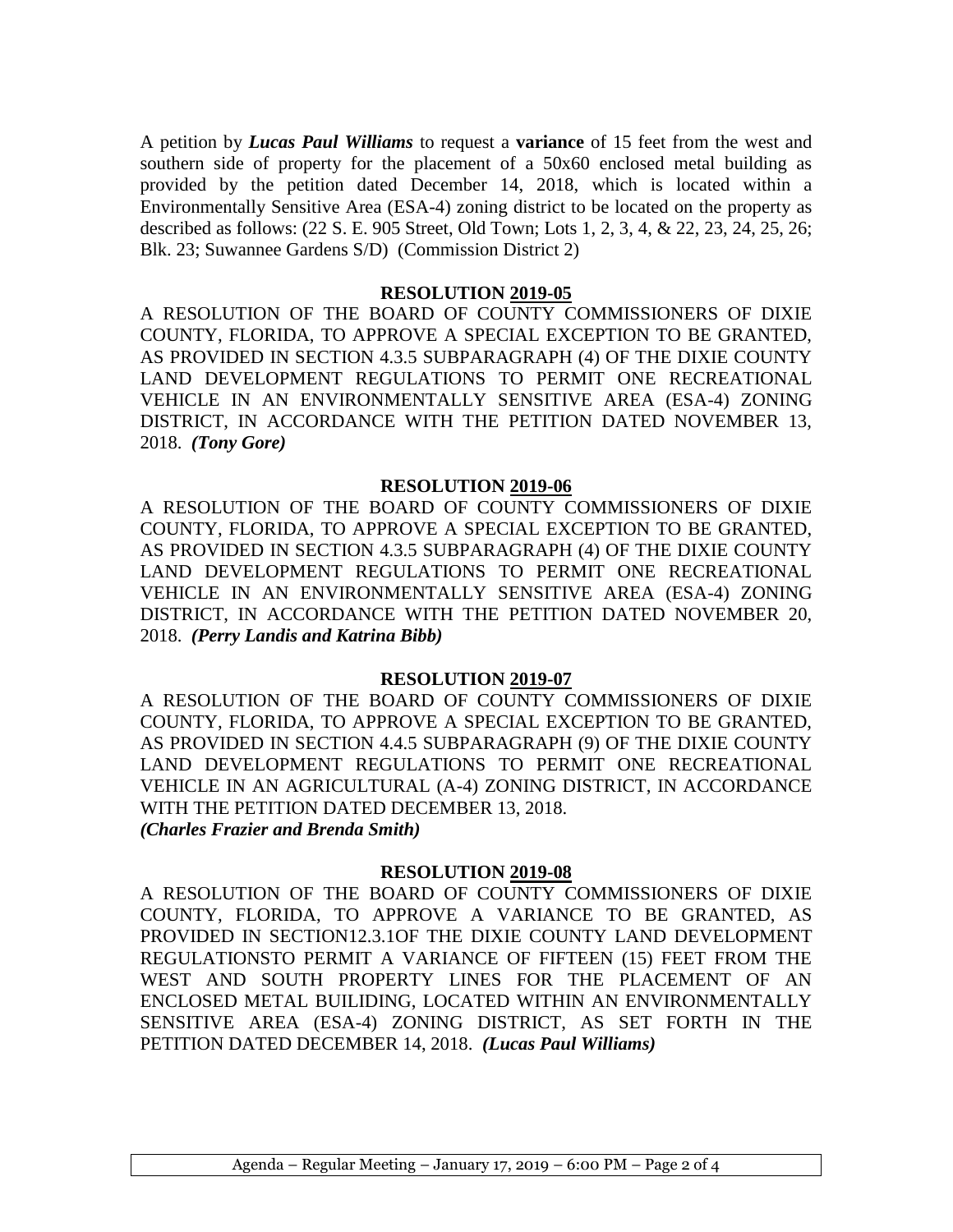A petition by *Lucas Paul Williams* to request a **variance** of 15 feet from the west and southern side of property for the placement of a 50x60 enclosed metal building as provided by the petition dated December 14, 2018, which is located within a Environmentally Sensitive Area (ESA-4) zoning district to be located on the property as described as follows: (22 S. E. 905 Street, Old Town; Lots 1, 2, 3, 4, & 22, 23, 24, 25, 26; Blk. 23; Suwannee Gardens S/D) (Commission District 2)

#### **RESOLUTION 2019-05**

A RESOLUTION OF THE BOARD OF COUNTY COMMISSIONERS OF DIXIE COUNTY, FLORIDA, TO APPROVE A SPECIAL EXCEPTION TO BE GRANTED, AS PROVIDED IN SECTION 4.3.5 SUBPARAGRAPH (4) OF THE DIXIE COUNTY LAND DEVELOPMENT REGULATIONS TO PERMIT ONE RECREATIONAL VEHICLE IN AN ENVIRONMENTALLY SENSITIVE AREA (ESA-4) ZONING DISTRICT, IN ACCORDANCE WITH THE PETITION DATED NOVEMBER 13, 2018. *(Tony Gore)* 

#### **RESOLUTION 2019-06**

A RESOLUTION OF THE BOARD OF COUNTY COMMISSIONERS OF DIXIE COUNTY, FLORIDA, TO APPROVE A SPECIAL EXCEPTION TO BE GRANTED, AS PROVIDED IN SECTION 4.3.5 SUBPARAGRAPH (4) OF THE DIXIE COUNTY LAND DEVELOPMENT REGULATIONS TO PERMIT ONE RECREATIONAL VEHICLE IN AN ENVIRONMENTALLY SENSITIVE AREA (ESA-4) ZONING DISTRICT, IN ACCORDANCE WITH THE PETITION DATED NOVEMBER 20, 2018. *(Perry Landis and Katrina Bibb)* 

#### **RESOLUTION 2019-07**

A RESOLUTION OF THE BOARD OF COUNTY COMMISSIONERS OF DIXIE COUNTY, FLORIDA, TO APPROVE A SPECIAL EXCEPTION TO BE GRANTED, AS PROVIDED IN SECTION 4.4.5 SUBPARAGRAPH (9) OF THE DIXIE COUNTY LAND DEVELOPMENT REGULATIONS TO PERMIT ONE RECREATIONAL VEHICLE IN AN AGRICULTURAL (A-4) ZONING DISTRICT, IN ACCORDANCE WITH THE PETITION DATED DECEMBER 13, 2018. *(Charles Frazier and Brenda Smith)* 

#### **RESOLUTION 2019-08**

A RESOLUTION OF THE BOARD OF COUNTY COMMISSIONERS OF DIXIE COUNTY, FLORIDA, TO APPROVE A VARIANCE TO BE GRANTED, AS PROVIDED IN SECTION12.3.1OF THE DIXIE COUNTY LAND DEVELOPMENT REGULATIONSTO PERMIT A VARIANCE OF FIFTEEN (15) FEET FROM THE WEST AND SOUTH PROPERTY LINES FOR THE PLACEMENT OF AN ENCLOSED METAL BUILIDING, LOCATED WITHIN AN ENVIRONMENTALLY SENSITIVE AREA (ESA-4) ZONING DISTRICT, AS SET FORTH IN THE PETITION DATED DECEMBER 14, 2018. *(Lucas Paul Williams)*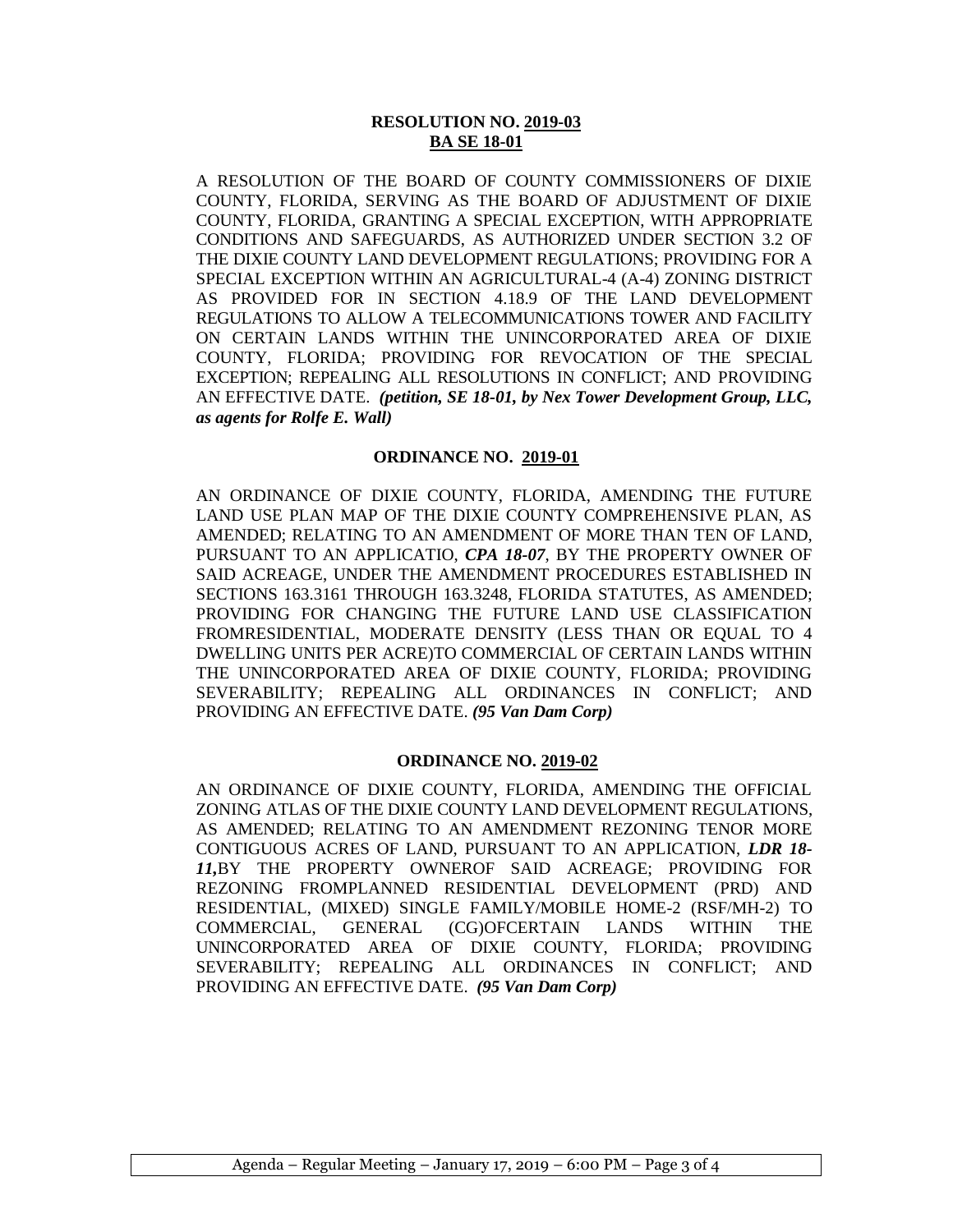#### **RESOLUTION NO. 2019-03 BA SE 18-01**

A RESOLUTION OF THE BOARD OF COUNTY COMMISSIONERS OF DIXIE COUNTY, FLORIDA, SERVING AS THE BOARD OF ADJUSTMENT OF DIXIE COUNTY, FLORIDA, GRANTING A SPECIAL EXCEPTION, WITH APPROPRIATE CONDITIONS AND SAFEGUARDS, AS AUTHORIZED UNDER SECTION 3.2 OF THE DIXIE COUNTY LAND DEVELOPMENT REGULATIONS; PROVIDING FOR A SPECIAL EXCEPTION WITHIN AN AGRICULTURAL-4 (A-4) ZONING DISTRICT AS PROVIDED FOR IN SECTION 4.18.9 OF THE LAND DEVELOPMENT REGULATIONS TO ALLOW A TELECOMMUNICATIONS TOWER AND FACILITY ON CERTAIN LANDS WITHIN THE UNINCORPORATED AREA OF DIXIE COUNTY, FLORIDA; PROVIDING FOR REVOCATION OF THE SPECIAL EXCEPTION; REPEALING ALL RESOLUTIONS IN CONFLICT; AND PROVIDING AN EFFECTIVE DATE. *(petition, SE 18-01, by Nex Tower Development Group, LLC, as agents for Rolfe E. Wall)*

#### **ORDINANCE NO. 2019-01**

AN ORDINANCE OF DIXIE COUNTY, FLORIDA, AMENDING THE FUTURE LAND USE PLAN MAP OF THE DIXIE COUNTY COMPREHENSIVE PLAN, AS AMENDED; RELATING TO AN AMENDMENT OF MORE THAN TEN OF LAND, PURSUANT TO AN APPLICATIO, *CPA 18-07*, BY THE PROPERTY OWNER OF SAID ACREAGE, UNDER THE AMENDMENT PROCEDURES ESTABLISHED IN SECTIONS 163.3161 THROUGH 163.3248, FLORIDA STATUTES, AS AMENDED; PROVIDING FOR CHANGING THE FUTURE LAND USE CLASSIFICATION FROMRESIDENTIAL, MODERATE DENSITY (LESS THAN OR EQUAL TO 4 DWELLING UNITS PER ACRE)TO COMMERCIAL OF CERTAIN LANDS WITHIN THE UNINCORPORATED AREA OF DIXIE COUNTY, FLORIDA; PROVIDING SEVERABILITY; REPEALING ALL ORDINANCES IN CONFLICT; AND PROVIDING AN EFFECTIVE DATE. *(95 Van Dam Corp)*

#### **ORDINANCE NO. 2019-02**

AN ORDINANCE OF DIXIE COUNTY, FLORIDA, AMENDING THE OFFICIAL ZONING ATLAS OF THE DIXIE COUNTY LAND DEVELOPMENT REGULATIONS, AS AMENDED; RELATING TO AN AMENDMENT REZONING TENOR MORE CONTIGUOUS ACRES OF LAND, PURSUANT TO AN APPLICATION, *LDR 18- 11,*BY THE PROPERTY OWNEROF SAID ACREAGE; PROVIDING FOR REZONING FROMPLANNED RESIDENTIAL DEVELOPMENT (PRD) AND RESIDENTIAL, (MIXED) SINGLE FAMILY/MOBILE HOME-2 (RSF/MH-2) TO COMMERCIAL, GENERAL (CG)OFCERTAIN LANDS WITHIN THE UNINCORPORATED AREA OF DIXIE COUNTY, FLORIDA; PROVIDING SEVERABILITY; REPEALING ALL ORDINANCES IN CONFLICT; AND PROVIDING AN EFFECTIVE DATE. *(95 Van Dam Corp)*